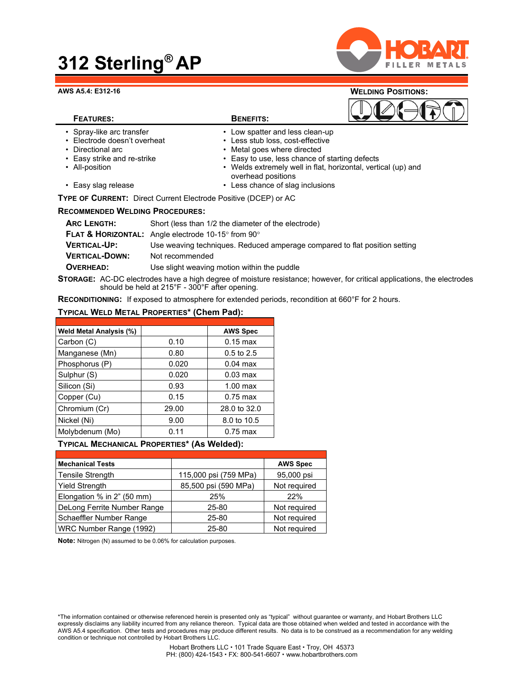## **312 Sterling® AP**



#### **AWS A5.4: E312-16 WELDING POSITIONS:**

### **FEATURES: BENEFITS:**



- 
- Directional arc **•** Metal goes where directed
- 
- Easy strike and re-strike  **Easy to use, less chance of starting defects**
- 
- All-position  **Welds extremely well in flat, horizontal, vertical (up) and** overhead positions
- Easy slag release Less chance of slag inclusions

• Less stub loss, cost-effective

**TYPE OF CURRENT:** Direct Current Electrode Positive (DCEP) or AC

#### **RECOMMENDED WELDING PROCEDURES:**

| <b>ARC LENGTH:</b>                                                                                                             | Short (less than 1/2 the diameter of the electrode)                             |  |  |  |
|--------------------------------------------------------------------------------------------------------------------------------|---------------------------------------------------------------------------------|--|--|--|
|                                                                                                                                | <b>FLAT &amp; HORIZONTAL:</b> Angle electrode 10-15 $\degree$ from 90 $\degree$ |  |  |  |
| <b>VERTICAL-UP:</b>                                                                                                            | Use weaving techniques. Reduced amperage compared to flat position setting      |  |  |  |
| <b>VERTICAL-DOWN:</b>                                                                                                          | Not recommended                                                                 |  |  |  |
| OVERHEAD:                                                                                                                      | Use slight weaving motion within the puddle                                     |  |  |  |
| <b>STORAGE:</b> AC-DC electrodes have a high degree of moisture resistance; however, for critical applications, the electrodes |                                                                                 |  |  |  |

should be held at 215°F - 300°F after opening.

**RECONDITIONING:** If exposed to atmosphere for extended periods, recondition at 660°F for 2 hours.

#### **TYPICAL WELD METAL PROPERTIES\* (Chem Pad):**

| <b>Weld Metal Analysis (%)</b> |       | <b>AWS Spec</b>    |
|--------------------------------|-------|--------------------|
| Carbon (C)                     | 0.10  | $0.15 \text{ max}$ |
| Manganese (Mn)                 | 0.80  | $0.5$ to 2.5       |
| Phosphorus (P)                 | 0.020 | $0.04$ max         |
| Sulphur (S)                    | 0.020 | $0.03 \text{ max}$ |
| Silicon (Si)                   | 0.93  | $1.00$ max         |
| Copper (Cu)                    | 0.15  | $0.75$ max         |
| Chromium (Cr)                  | 29.00 | 28.0 to 32.0       |
| Nickel (Ni)                    | 9.00  | 8.0 to 10.5        |
| Molybdenum (Mo)                | 0.11  | $0.75$ max         |
|                                |       |                    |

#### **TYPICAL MECHANICAL PROPERTIES\* (As Welded):**

| <b>Mechanical Tests</b>     |                       | <b>AWS Spec</b> |
|-----------------------------|-----------------------|-----------------|
| <b>Tensile Strength</b>     | 115,000 psi (759 MPa) | 95,000 psi      |
| Yield Strength              | 85,500 psi (590 MPa)  | Not required    |
| Elongation % in 2" (50 mm)  | 25%                   | 22%             |
| DeLong Ferrite Number Range | 25-80                 | Not required    |
| Schaeffler Number Range     | 25-80                 | Not required    |
| WRC Number Range (1992)     | $25 - 80$             | Not required    |

**Note:** Nitrogen (N) assumed to be 0.06% for calculation purposes.

<sup>\*</sup>The information contained or otherwise referenced herein is presented only as "typical" without guarantee or warranty, and Hobart Brothers LLC expressly disclaims any liability incurred from any reliance thereon. Typical data are those obtained when welded and tested in accordance with the AWS A5.4 specification. Other tests and procedures may produce different results. No data is to be construed as a recommendation for any welding condition or technique not controlled by Hobart Brothers LLC.